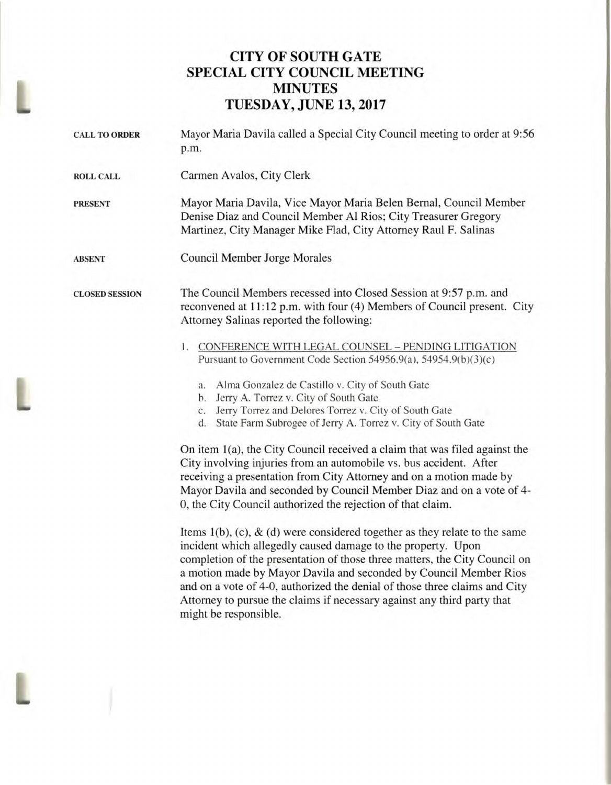## **CITY OF SOUTH GATE SPECIAL CITY COUNCIL MEETING MINUTES TUESDAY, JUNE 13, 2017**

| <b>CALL TO ORDER</b>  | Mayor Maria Davila called a Special City Council meeting to order at 9:56<br>p.m.                                                                                                                                                                                                                                                                                                                                                                                                                                                                                                                                                                                                     |
|-----------------------|---------------------------------------------------------------------------------------------------------------------------------------------------------------------------------------------------------------------------------------------------------------------------------------------------------------------------------------------------------------------------------------------------------------------------------------------------------------------------------------------------------------------------------------------------------------------------------------------------------------------------------------------------------------------------------------|
| <b>ROLL CALL</b>      | Carmen Avalos, City Clerk                                                                                                                                                                                                                                                                                                                                                                                                                                                                                                                                                                                                                                                             |
| <b>PRESENT</b>        | Mayor Maria Davila, Vice Mayor Maria Belen Bernal, Council Member<br>Denise Diaz and Council Member Al Rios; City Treasurer Gregory<br>Martinez, City Manager Mike Flad, City Attorney Raul F. Salinas                                                                                                                                                                                                                                                                                                                                                                                                                                                                                |
| <b>ABSENT</b>         | Council Member Jorge Morales                                                                                                                                                                                                                                                                                                                                                                                                                                                                                                                                                                                                                                                          |
| <b>CLOSED SESSION</b> | The Council Members recessed into Closed Session at 9:57 p.m. and<br>reconvened at 11:12 p.m. with four (4) Members of Council present. City<br>Attorney Salinas reported the following:                                                                                                                                                                                                                                                                                                                                                                                                                                                                                              |
|                       | CONFERENCE WITH LEGAL COUNSEL - PENDING LITIGATION<br>1.<br>Pursuant to Government Code Section 54956.9(a), 54954.9(b)(3)(c)<br>Alma Gonzalez de Castillo v. City of South Gate<br>a.<br>Jerry A. Torrez v. City of South Gate<br>b.<br>Jerry Torrez and Delores Torrez v. City of South Gate<br>$C_{\star}$<br>State Farm Subrogee of Jerry A. Torrez v. City of South Gate<br>d.<br>On item 1(a), the City Council received a claim that was filed against the<br>City involving injuries from an automobile vs. bus accident. After<br>receiving a presentation from City Attorney and on a motion made by<br>Mayor Davila and seconded by Council Member Diaz and on a vote of 4- |
|                       | 0, the City Council authorized the rejection of that claim.                                                                                                                                                                                                                                                                                                                                                                                                                                                                                                                                                                                                                           |

L

Items 1(b), (c), & (d) were considered together as they relate to the same incident which allegedly caused damage to the property. Upon completion of the presentation of those three matters, the City Council on a motion made by Mayor Davila and seconded by Council Member Rios and on a vote of 4-0, authorized the denial of those three claims and City Attorney to pursue the claims if necessary against any third party that might be responsible.